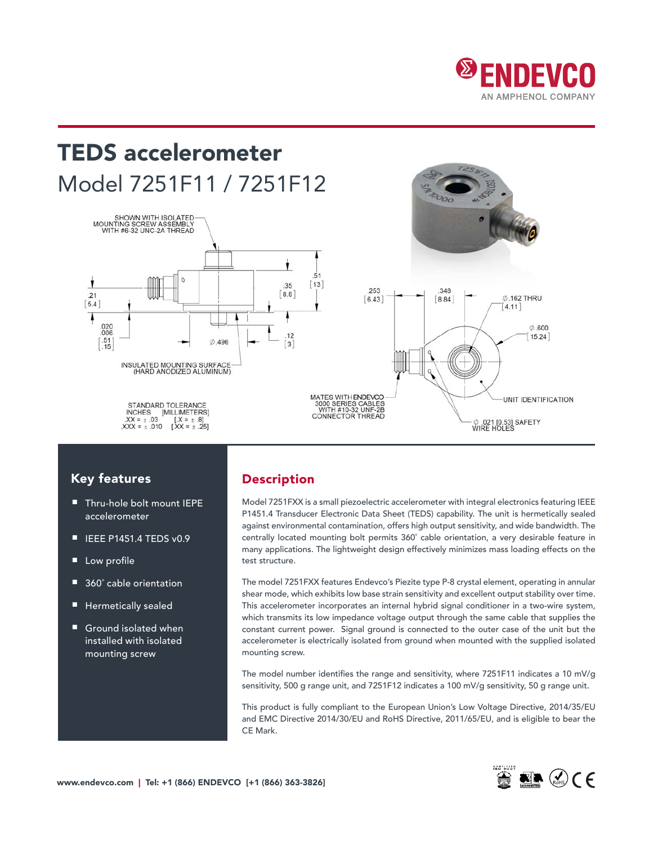

# TEDS accelerometer Model 7251F11 / 7251F12





## Key features

- Thru-hole bolt mount IEPE accelerometer
- IEEE P1451.4 TEDS v0.9
- Low profile
- 360° cable orientation
- Hermetically sealed
- Ground isolated when installed with isolated mounting screw

## Description

Model 7251FXX is a small piezoelectric accelerometer with integral electronics featuring IEEE P1451.4 Transducer Electronic Data Sheet (TEDS) capability. The unit is hermetically sealed against environmental contamination, offers high output sensitivity, and wide bandwidth. The centrally located mounting bolt permits 360˚ cable orientation, a very desirable feature in many applications. The lightweight design effectively minimizes mass loading effects on the test structure.

The model 7251FXX features Endevco's Piezite type P-8 crystal element, operating in annular shear mode, which exhibits low base strain sensitivity and excellent output stability over time. This accelerometer incorporates an internal hybrid signal conditioner in a two-wire system, which transmits its low impedance voltage output through the same cable that supplies the constant current power. Signal ground is connected to the outer case of the unit but the accelerometer is electrically isolated from ground when mounted with the supplied isolated mounting screw.

The model number identifies the range and sensitivity, where 7251F11 indicates a 10 mV/g sensitivity, 500 g range unit, and 7251F12 indicates a 100 mV/g sensitivity, 50 g range unit.

This product is fully compliant to the European Union's Low Voltage Directive, 2014/35/EU and EMC Directive 2014/30/EU and RoHS Directive, 2011/65/EU, and is eligible to bear the CE Mark.

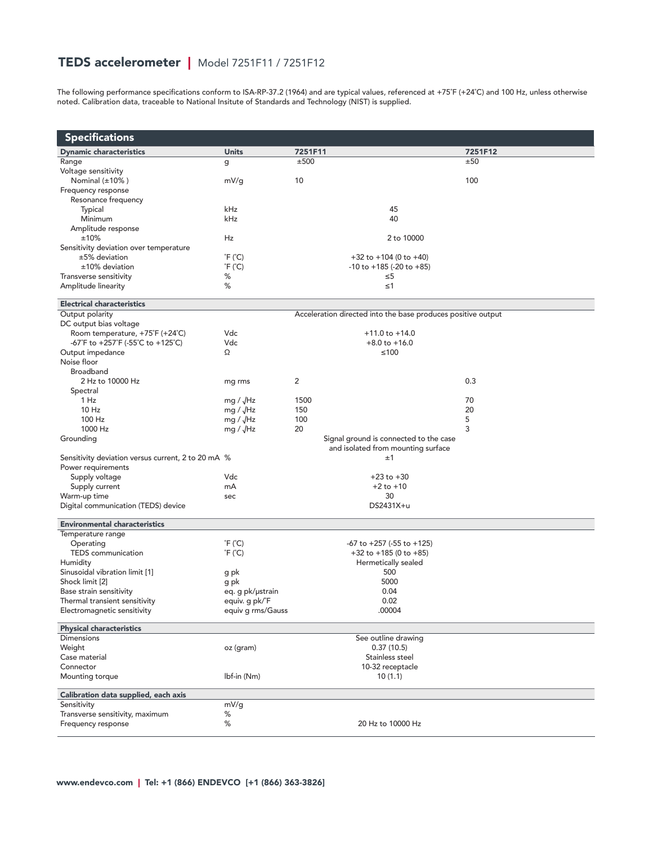# TEDS accelerometer | Model 7251F11 / 7251F12

The following performance specifications conform to ISA-RP-37.2 (1964) and are typical values, referenced at +75°F (+24°C) and 100 Hz, unless otherwise noted. Calibration data, traceable to National Insitute of Standards and Technology (NIST) is supplied.

| <b>Specifications</b>                                                |                            |                                                                              |         |
|----------------------------------------------------------------------|----------------------------|------------------------------------------------------------------------------|---------|
| <b>Dynamic characteristics</b>                                       | <b>Units</b>               | 7251F11                                                                      | 7251F12 |
| Range                                                                | g                          | ±500                                                                         | ±50     |
| Voltage sensitivity                                                  |                            |                                                                              |         |
| Nominal $(\pm 10\%)$                                                 | mV/g                       | 10                                                                           | 100     |
| Frequency response                                                   |                            |                                                                              |         |
| Resonance frequency<br>Typical                                       | kHz                        | 45                                                                           |         |
| Minimum                                                              | kHz                        | 40                                                                           |         |
| Amplitude response                                                   |                            |                                                                              |         |
| ±10%                                                                 | Hz                         | 2 to 10000                                                                   |         |
| Sensitivity deviation over temperature                               |                            |                                                                              |         |
| $±5\%$ deviation                                                     | $\degree$ F ( $\degree$ C) | $+32$ to $+104$ (0 to $+40$ )                                                |         |
| $±10\%$ deviation                                                    | $\degree$ F ( $\degree$ C) | $-10$ to $+185$ ( $-20$ to $+85$ )                                           |         |
| Transverse sensitivity                                               | ℅                          | ≤5                                                                           |         |
| Amplitude linearity                                                  | %                          | $\leq 1$                                                                     |         |
| <b>Electrical characteristics</b>                                    |                            |                                                                              |         |
| Output polarity                                                      |                            | Acceleration directed into the base produces positive output                 |         |
| DC output bias voltage                                               | Vdc                        | $+11.0$ to $+14.0$                                                           |         |
| Room temperature, +75°F (+24°C)<br>-67°F to +257°F (-55°C to +125°C) | Vdc                        | $+8.0$ to $+16.0$                                                            |         |
| Output impedance                                                     | Ω                          | $≤100$                                                                       |         |
| Noise floor                                                          |                            |                                                                              |         |
| <b>Broadband</b>                                                     |                            |                                                                              |         |
| 2 Hz to 10000 Hz                                                     | mg rms                     | 2                                                                            | 0.3     |
| Spectral                                                             |                            |                                                                              |         |
| 1 Hz                                                                 | mg / $\sqrt{Hz}$           | 1500                                                                         | 70      |
| 10Hz                                                                 | mg / $\sqrt{Hz}$           | 150                                                                          | 20      |
| 100 Hz                                                               | mg / $\sqrt{Hz}$           | 100                                                                          | 5       |
| 1000 Hz                                                              | mg / $\sqrt{Hz}$           | 20                                                                           | 3       |
| Grounding                                                            |                            | Signal ground is connected to the case<br>and isolated from mounting surface |         |
| Sensitivity deviation versus current, 2 to 20 mA %                   |                            | ±1                                                                           |         |
| Power requirements                                                   |                            |                                                                              |         |
| Supply voltage                                                       | Vdc                        | $+23$ to $+30$                                                               |         |
| Supply current                                                       | mA                         | $+2$ to $+10$                                                                |         |
| Warm-up time                                                         | sec                        | 30                                                                           |         |
| Digital communication (TEDS) device                                  |                            | DS2431X+u                                                                    |         |
| <b>Environmental characteristics</b>                                 |                            |                                                                              |         |
| Temperature range                                                    |                            |                                                                              |         |
| Operating                                                            | $\degree$ F ( $\degree$ C) | $-67$ to $+257$ ( $-55$ to $+125$ )                                          |         |
| TEDS communication<br>Humidity                                       | $\degree$ F ( $\degree$ C) | $+32$ to $+185$ (0 to $+85$ )<br>Hermetically sealed                         |         |
| Sinusoidal vibration limit [1]                                       | g pk                       | 500                                                                          |         |
| Shock limit [2]                                                      | g pk                       | 5000                                                                         |         |
| Base strain sensitivity                                              | eq. g pk/µstrain           | 0.04                                                                         |         |
| Thermal transient sensitivity                                        | equiv. g pk/°F             | 0.02                                                                         |         |
| Electromagnetic sensitivity                                          | equiv g rms/Gauss          | .00004                                                                       |         |
| <b>Physical characteristics</b>                                      |                            |                                                                              |         |
| <b>Dimensions</b>                                                    |                            | See outline drawing                                                          |         |
| Weight                                                               | oz (gram)                  | 0.37(10.5)                                                                   |         |
| Case material                                                        |                            | Stainless steel                                                              |         |
| Connector                                                            |                            | 10-32 receptacle                                                             |         |
| Mounting torque                                                      | lbf-in (Nm)                | 10(1.1)                                                                      |         |
| Calibration data supplied, each axis                                 |                            |                                                                              |         |
| Sensitivity                                                          | mV/g                       |                                                                              |         |
| Transverse sensitivity, maximum                                      | %                          | 20 Hz to 10000 Hz                                                            |         |
| Frequency response                                                   | %                          |                                                                              |         |